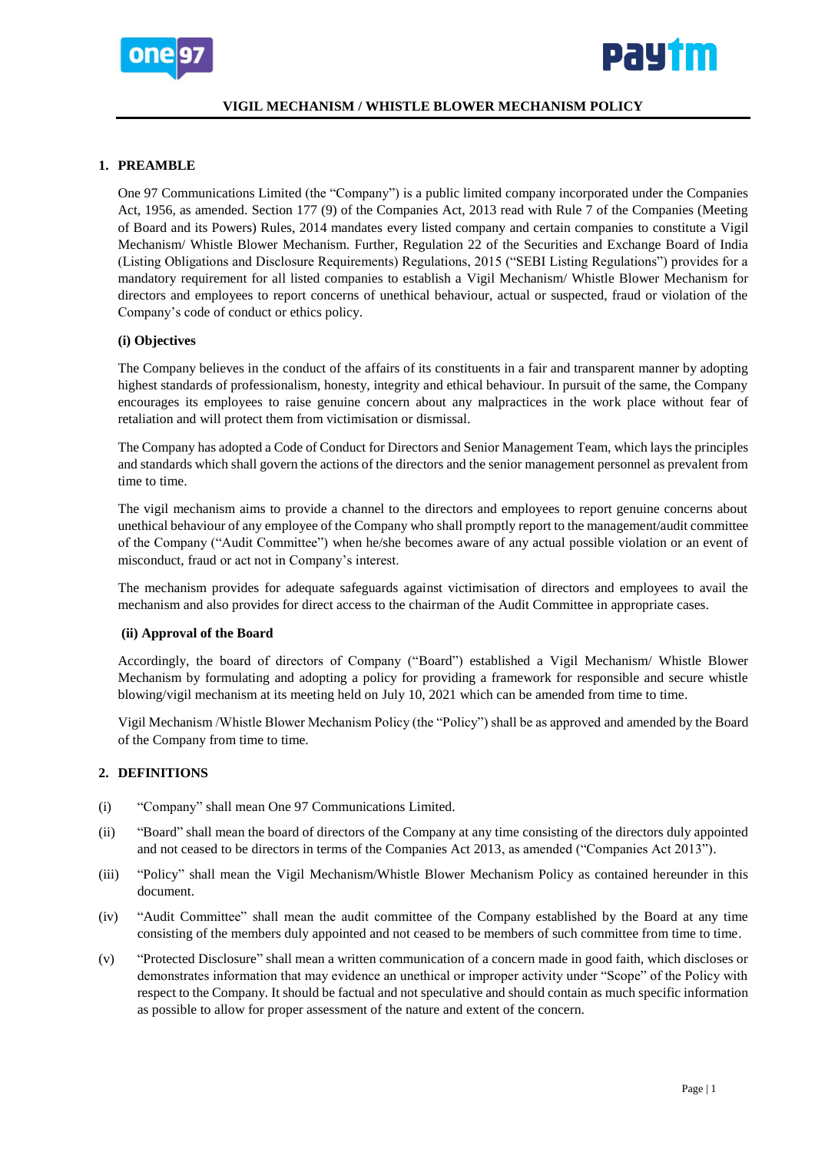



### **VIGIL MECHANISM / WHISTLE BLOWER MECHANISM POLICY**

## **1. PREAMBLE**

One 97 Communications Limited (the "Company") is a public limited company incorporated under the Companies Act, 1956, as amended. Section 177 (9) of the Companies Act, 2013 read with Rule 7 of the Companies (Meeting of Board and its Powers) Rules, 2014 mandates every listed company and certain companies to constitute a Vigil Mechanism/ Whistle Blower Mechanism. Further, Regulation 22 of the Securities and Exchange Board of India (Listing Obligations and Disclosure Requirements) Regulations, 2015 ("SEBI Listing Regulations") provides for a mandatory requirement for all listed companies to establish a Vigil Mechanism/ Whistle Blower Mechanism for directors and employees to report concerns of unethical behaviour, actual or suspected, fraud or violation of the Company's code of conduct or ethics policy.

### **(i) Objectives**

The Company believes in the conduct of the affairs of its constituents in a fair and transparent manner by adopting highest standards of professionalism, honesty, integrity and ethical behaviour. In pursuit of the same, the Company encourages its employees to raise genuine concern about any malpractices in the work place without fear of retaliation and will protect them from victimisation or dismissal.

The Company has adopted a Code of Conduct for Directors and Senior Management Team, which lays the principles and standards which shall govern the actions of the directors and the senior management personnel as prevalent from time to time.

The vigil mechanism aims to provide a channel to the directors and employees to report genuine concerns about unethical behaviour of any employee of the Company who shall promptly report to the management/audit committee of the Company ("Audit Committee") when he/she becomes aware of any actual possible violation or an event of misconduct, fraud or act not in Company's interest.

The mechanism provides for adequate safeguards against victimisation of directors and employees to avail the mechanism and also provides for direct access to the chairman of the Audit Committee in appropriate cases.

#### **(ii) Approval of the Board**

Accordingly, the board of directors of Company ("Board") established a Vigil Mechanism/ Whistle Blower Mechanism by formulating and adopting a policy for providing a framework for responsible and secure whistle blowing/vigil mechanism at its meeting held on July 10, 2021 which can be amended from time to time.

Vigil Mechanism /Whistle Blower Mechanism Policy (the "Policy") shall be as approved and amended by the Board of the Company from time to time.

# **2. DEFINITIONS**

- (i) "Company" shall mean One 97 Communications Limited.
- (ii) "Board" shall mean the board of directors of the Company at any time consisting of the directors duly appointed and not ceased to be directors in terms of the Companies Act 2013, as amended ("Companies Act 2013").
- (iii) "Policy" shall mean the Vigil Mechanism/Whistle Blower Mechanism Policy as contained hereunder in this document.
- (iv) "Audit Committee" shall mean the audit committee of the Company established by the Board at any time consisting of the members duly appointed and not ceased to be members of such committee from time to time.
- (v) "Protected Disclosure" shall mean a written communication of a concern made in good faith, which discloses or demonstrates information that may evidence an unethical or improper activity under "Scope" of the Policy with respect to the Company. It should be factual and not speculative and should contain as much specific information as possible to allow for proper assessment of the nature and extent of the concern.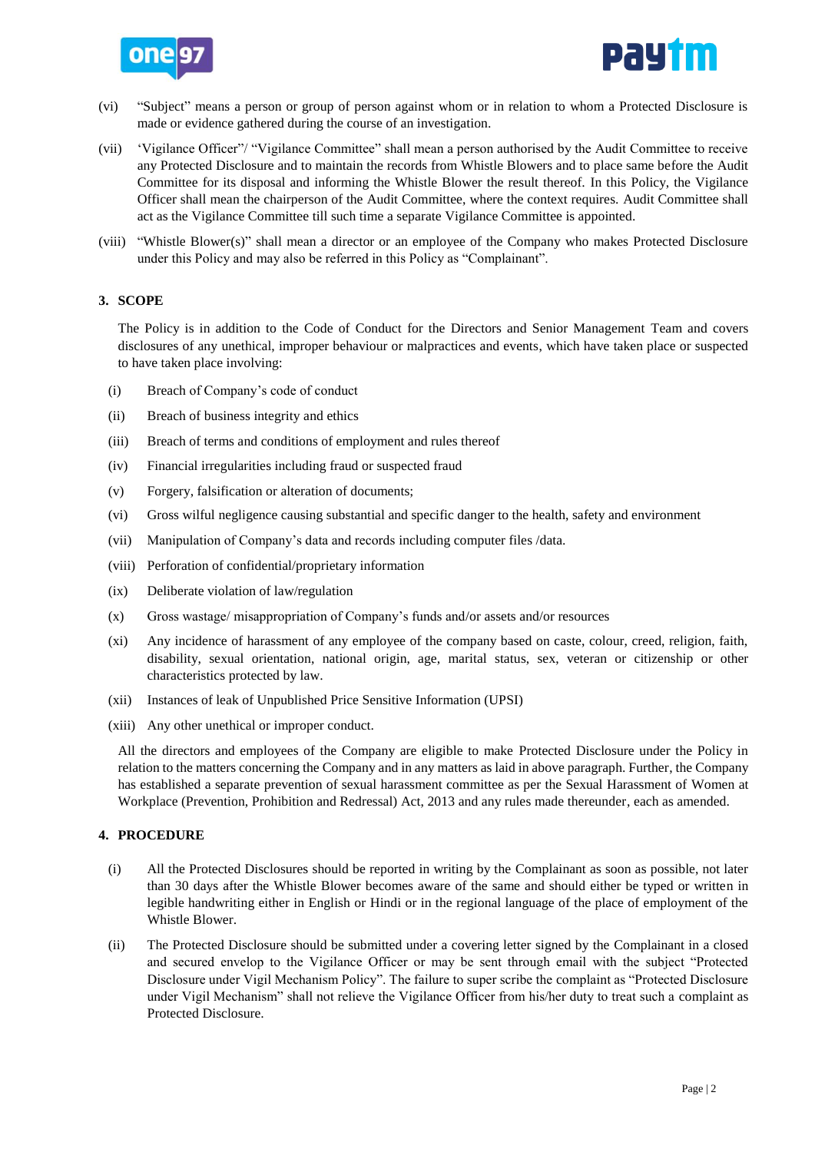



- (vi) "Subject" means a person or group of person against whom or in relation to whom a Protected Disclosure is made or evidence gathered during the course of an investigation.
- (vii) 'Vigilance Officer"/ "Vigilance Committee" shall mean a person authorised by the Audit Committee to receive any Protected Disclosure and to maintain the records from Whistle Blowers and to place same before the Audit Committee for its disposal and informing the Whistle Blower the result thereof. In this Policy, the Vigilance Officer shall mean the chairperson of the Audit Committee, where the context requires. Audit Committee shall act as the Vigilance Committee till such time a separate Vigilance Committee is appointed.
- (viii) "Whistle Blower(s)" shall mean a director or an employee of the Company who makes Protected Disclosure under this Policy and may also be referred in this Policy as "Complainant".

## **3. SCOPE**

The Policy is in addition to the Code of Conduct for the Directors and Senior Management Team and covers disclosures of any unethical, improper behaviour or malpractices and events, which have taken place or suspected to have taken place involving:

- (i) Breach of Company's code of conduct
- (ii) Breach of business integrity and ethics
- (iii) Breach of terms and conditions of employment and rules thereof
- (iv) Financial irregularities including fraud or suspected fraud
- (v) Forgery, falsification or alteration of documents;
- (vi) Gross wilful negligence causing substantial and specific danger to the health, safety and environment
- (vii) Manipulation of Company's data and records including computer files /data.
- (viii) Perforation of confidential/proprietary information
- (ix) Deliberate violation of law/regulation
- (x) Gross wastage/ misappropriation of Company's funds and/or assets and/or resources
- (xi) Any incidence of harassment of any employee of the company based on caste, colour, creed, religion, faith, disability, sexual orientation, national origin, age, marital status, sex, veteran or citizenship or other characteristics protected by law.
- (xii) Instances of leak of Unpublished Price Sensitive Information (UPSI)
- (xiii) Any other unethical or improper conduct.

All the directors and employees of the Company are eligible to make Protected Disclosure under the Policy in relation to the matters concerning the Company and in any matters as laid in above paragraph. Further, the Company has established a separate prevention of sexual harassment committee as per the Sexual Harassment of Women at Workplace (Prevention, Prohibition and Redressal) Act, 2013 and any rules made thereunder, each as amended.

## **4. PROCEDURE**

- (i) All the Protected Disclosures should be reported in writing by the Complainant as soon as possible, not later than 30 days after the Whistle Blower becomes aware of the same and should either be typed or written in legible handwriting either in English or Hindi or in the regional language of the place of employment of the Whistle Blower.
- (ii) The Protected Disclosure should be submitted under a covering letter signed by the Complainant in a closed and secured envelop to the Vigilance Officer or may be sent through email with the subject "Protected Disclosure under Vigil Mechanism Policy". The failure to super scribe the complaint as "Protected Disclosure under Vigil Mechanism" shall not relieve the Vigilance Officer from his/her duty to treat such a complaint as Protected Disclosure.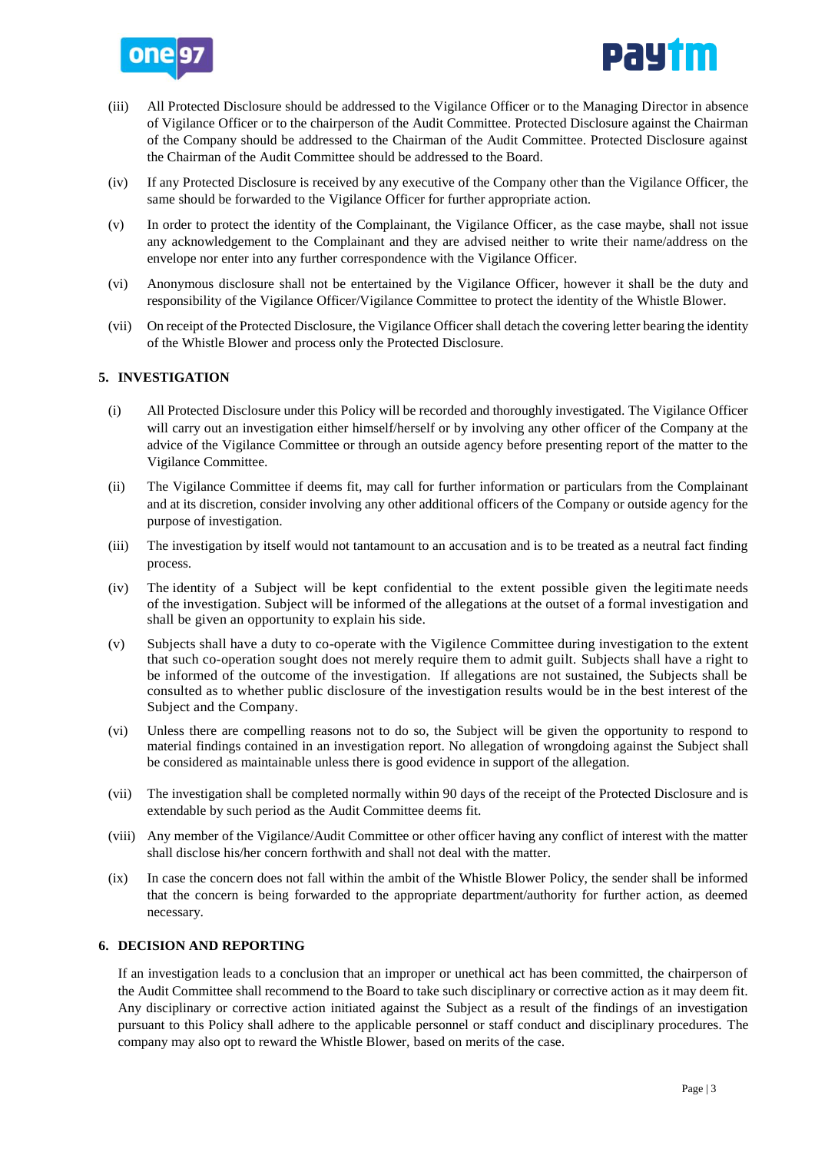



- (iii) All Protected Disclosure should be addressed to the Vigilance Officer or to the Managing Director in absence of Vigilance Officer or to the chairperson of the Audit Committee. Protected Disclosure against the Chairman of the Company should be addressed to the Chairman of the Audit Committee. Protected Disclosure against the Chairman of the Audit Committee should be addressed to the Board.
- (iv) If any Protected Disclosure is received by any executive of the Company other than the Vigilance Officer, the same should be forwarded to the Vigilance Officer for further appropriate action.
- (v) In order to protect the identity of the Complainant, the Vigilance Officer, as the case maybe, shall not issue any acknowledgement to the Complainant and they are advised neither to write their name/address on the envelope nor enter into any further correspondence with the Vigilance Officer.
- (vi) Anonymous disclosure shall not be entertained by the Vigilance Officer, however it shall be the duty and responsibility of the Vigilance Officer/Vigilance Committee to protect the identity of the Whistle Blower.
- (vii) On receipt of the Protected Disclosure, the Vigilance Officer shall detach the covering letter bearing the identity of the Whistle Blower and process only the Protected Disclosure.

# **5. INVESTIGATION**

- (i) All Protected Disclosure under this Policy will be recorded and thoroughly investigated. The Vigilance Officer will carry out an investigation either himself/herself or by involving any other officer of the Company at the advice of the Vigilance Committee or through an outside agency before presenting report of the matter to the Vigilance Committee.
- (ii) The Vigilance Committee if deems fit, may call for further information or particulars from the Complainant and at its discretion, consider involving any other additional officers of the Company or outside agency for the purpose of investigation.
- (iii) The investigation by itself would not tantamount to an accusation and is to be treated as a neutral fact finding process.
- (iv) The identity of a Subject will be kept confidential to the extent possible given the legitimate needs of the investigation. Subject will be informed of the allegations at the outset of a formal investigation and shall be given an opportunity to explain his side.
- (v) Subjects shall have a duty to co-operate with the Vigilence Committee during investigation to the extent that such co-operation sought does not merely require them to admit guilt. Subjects shall have a right to be informed of the outcome of the investigation. If allegations are not sustained, the Subjects shall be consulted as to whether public disclosure of the investigation results would be in the best interest of the Subject and the Company.
- (vi) Unless there are compelling reasons not to do so, the Subject will be given the opportunity to respond to material findings contained in an investigation report. No allegation of wrongdoing against the Subject shall be considered as maintainable unless there is good evidence in support of the allegation.
- (vii) The investigation shall be completed normally within 90 days of the receipt of the Protected Disclosure and is extendable by such period as the Audit Committee deems fit.
- (viii) Any member of the Vigilance/Audit Committee or other officer having any conflict of interest with the matter shall disclose his/her concern forthwith and shall not deal with the matter.
- (ix) In case the concern does not fall within the ambit of the Whistle Blower Policy, the sender shall be informed that the concern is being forwarded to the appropriate department/authority for further action, as deemed necessary.

## **6. DECISION AND REPORTING**

If an investigation leads to a conclusion that an improper or unethical act has been committed, the chairperson of the Audit Committee shall recommend to the Board to take such disciplinary or corrective action as it may deem fit. Any disciplinary or corrective action initiated against the Subject as a result of the findings of an investigation pursuant to this Policy shall adhere to the applicable personnel or staff conduct and disciplinary procedures. The company may also opt to reward the Whistle Blower, based on merits of the case.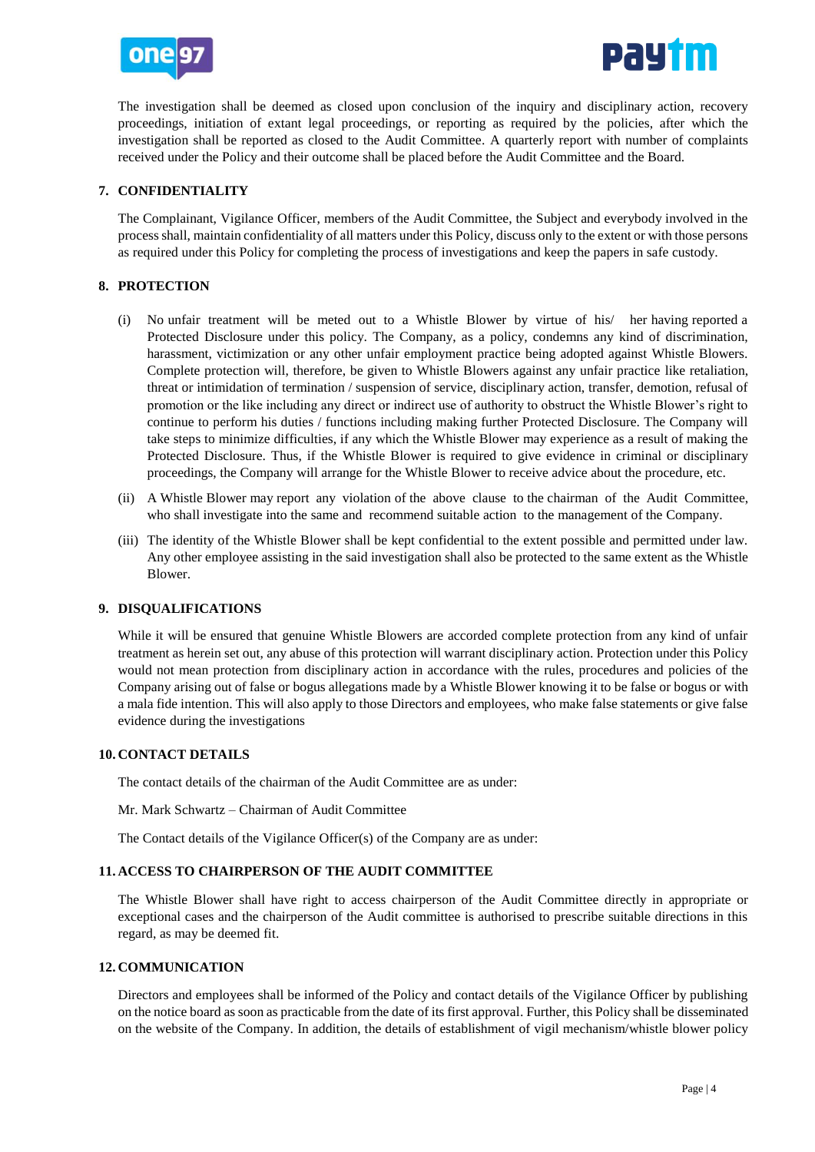



The investigation shall be deemed as closed upon conclusion of the inquiry and disciplinary action, recovery proceedings, initiation of extant legal proceedings, or reporting as required by the policies, after which the investigation shall be reported as closed to the Audit Committee. A quarterly report with number of complaints received under the Policy and their outcome shall be placed before the Audit Committee and the Board.

# **7. CONFIDENTIALITY**

The Complainant, Vigilance Officer, members of the Audit Committee, the Subject and everybody involved in the process shall, maintain confidentiality of all matters under this Policy, discuss only to the extent or with those persons as required under this Policy for completing the process of investigations and keep the papers in safe custody.

# **8. PROTECTION**

- (i) No unfair treatment will be meted out to a Whistle Blower by virtue of his/ her having reported a Protected Disclosure under this policy. The Company, as a policy, condemns any kind of discrimination, harassment, victimization or any other unfair employment practice being adopted against Whistle Blowers. Complete protection will, therefore, be given to Whistle Blowers against any unfair practice like retaliation, threat or intimidation of termination / suspension of service, disciplinary action, transfer, demotion, refusal of promotion or the like including any direct or indirect use of authority to obstruct the Whistle Blower's right to continue to perform his duties / functions including making further Protected Disclosure. The Company will take steps to minimize difficulties, if any which the Whistle Blower may experience as a result of making the Protected Disclosure. Thus, if the Whistle Blower is required to give evidence in criminal or disciplinary proceedings, the Company will arrange for the Whistle Blower to receive advice about the procedure, etc.
- (ii) A Whistle Blower may report any violation of the above clause to the chairman of the Audit Committee, who shall investigate into the same and recommend suitable action to the management of the Company.
- (iii) The identity of the Whistle Blower shall be kept confidential to the extent possible and permitted under law. Any other employee assisting in the said investigation shall also be protected to the same extent as the Whistle Blower.

## **9. DISQUALIFICATIONS**

While it will be ensured that genuine Whistle Blowers are accorded complete protection from any kind of unfair treatment as herein set out, any abuse of this protection will warrant disciplinary action. Protection under this Policy would not mean protection from disciplinary action in accordance with the rules, procedures and policies of the Company arising out of false or bogus allegations made by a Whistle Blower knowing it to be false or bogus or with a mala fide intention. This will also apply to those Directors and employees, who make false statements or give false evidence during the investigations

#### **10. CONTACT DETAILS**

The contact details of the chairman of the Audit Committee are as under:

#### Mr. Mark Schwartz – Chairman of Audit Committee

The Contact details of the Vigilance Officer(s) of the Company are as under:

#### **11. ACCESS TO CHAIRPERSON OF THE AUDIT COMMITTEE**

The Whistle Blower shall have right to access chairperson of the Audit Committee directly in appropriate or exceptional cases and the chairperson of the Audit committee is authorised to prescribe suitable directions in this regard, as may be deemed fit.

### **12. COMMUNICATION**

Directors and employees shall be informed of the Policy and contact details of the Vigilance Officer by publishing on the notice board as soon as practicable from the date of its first approval. Further, this Policy shall be disseminated on the website of the Company. In addition, the details of establishment of vigil mechanism/whistle blower policy